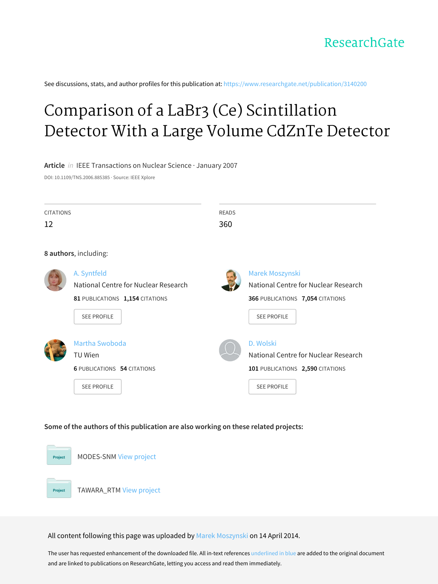

See discussions, stats, and author profiles for this publication at: [https://www.researchgate.net/publication/3140200](https://www.researchgate.net/publication/3140200_Comparison_of_a_LaBr3_Ce_Scintillation_Detector_With_a_Large_Volume_CdZnTe_Detector?enrichId=rgreq-76d1c7b294ca3bb5af1c1b7d9063d6fe-XXX&enrichSource=Y292ZXJQYWdlOzMxNDAyMDA7QVM6MTA0MDgyMTAyNTU0NjM4QDE0MDE4MjY1MTYxMDM%3D&el=1_x_2&_esc=publicationCoverPdf)

# Comparison of a LaBr3 (Ce) [Scintillation](https://www.researchgate.net/publication/3140200_Comparison_of_a_LaBr3_Ce_Scintillation_Detector_With_a_Large_Volume_CdZnTe_Detector?enrichId=rgreq-76d1c7b294ca3bb5af1c1b7d9063d6fe-XXX&enrichSource=Y292ZXJQYWdlOzMxNDAyMDA7QVM6MTA0MDgyMTAyNTU0NjM4QDE0MDE4MjY1MTYxMDM%3D&el=1_x_3&_esc=publicationCoverPdf) Detector With a Large Volume CdZnTe Detector

## **Article** in IEEE Transactions on Nuclear Science · January 2007

DOI: 10.1109/TNS.2006.885385 · Source: IEEE Xplore

| <b>CITATIONS</b><br><b>READS</b> |                                      |     |                                      |  |  |  |
|----------------------------------|--------------------------------------|-----|--------------------------------------|--|--|--|
| 12                               |                                      | 360 |                                      |  |  |  |
|                                  |                                      |     |                                      |  |  |  |
| 8 authors, including:            |                                      |     |                                      |  |  |  |
|                                  | A. Syntfeld                          |     | Marek Moszynski                      |  |  |  |
|                                  | National Centre for Nuclear Research |     | National Centre for Nuclear Research |  |  |  |
|                                  | 81 PUBLICATIONS 1,154 CITATIONS      |     | 366 PUBLICATIONS 7,054 CITATIONS     |  |  |  |
|                                  | <b>SEE PROFILE</b>                   |     | <b>SEE PROFILE</b>                   |  |  |  |
|                                  |                                      |     |                                      |  |  |  |
|                                  | Martha Swoboda                       |     | D. Wolski                            |  |  |  |
|                                  | TU Wien                              |     | National Centre for Nuclear Research |  |  |  |
|                                  | <b>6 PUBLICATIONS 54 CITATIONS</b>   |     | 101 PUBLICATIONS 2,590 CITATIONS     |  |  |  |
|                                  | <b>SEE PROFILE</b>                   |     | <b>SEE PROFILE</b>                   |  |  |  |
|                                  |                                      |     |                                      |  |  |  |

## **Some of the authors of this publication are also working on these related projects:**



All content following this page was uploaded by Marek [Moszynski](https://www.researchgate.net/profile/Marek_Moszynski2?enrichId=rgreq-76d1c7b294ca3bb5af1c1b7d9063d6fe-XXX&enrichSource=Y292ZXJQYWdlOzMxNDAyMDA7QVM6MTA0MDgyMTAyNTU0NjM4QDE0MDE4MjY1MTYxMDM%3D&el=1_x_10&_esc=publicationCoverPdf) on 14 April 2014.

The user has requested enhancement of the downloaded file. All in-text references underlined in blue are added to the original document and are linked to publications on ResearchGate, letting you access and read them immediately.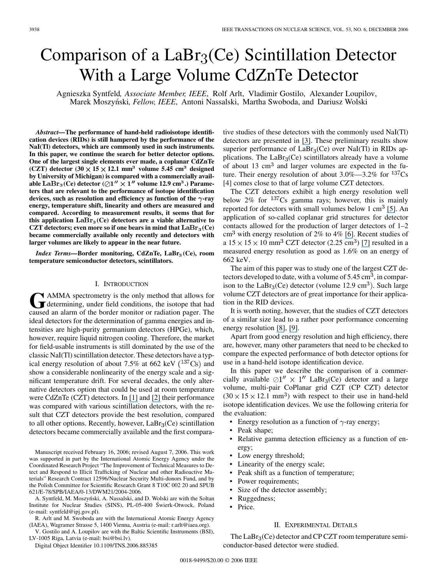## Comparison of a  $LaBr<sub>3</sub>(Ce)$  Scintillation Detector With a Large Volume CdZnTe Detector

Agnieszka Syntfeld*, Associate Member, IEEE*, Rolf Arlt, Vladimir Gostilo, Alexander Loupilov, Marek Moszyn´ski*, Fellow, IEEE*, Antoni Nassalski, Martha Swoboda, and Dariusz Wolski

*Abstract—***The performance of hand-held radioisotope identification devices (RIDs) is still hampered by the performance of the NaI(Tl) detectors, which are commonly used in such instruments. In this paper, we continue the search for better detector options. One of the largest single elements ever made, a coplanar CdZnTe (CZT)** detector  $(30 \times 15 \times 12.1 \text{ mm}^3)$  volume 5.45 cm<sup>3</sup> designed **by University of Michigan) is compared with a commercially avail**able LaBr<sub>3</sub>(Ce) detector ( $\oslash$ 1"  $\times$  1" volume 12.9 cm<sup>3</sup>.) Parame**ters that are relevant to the performance of isotope identification** devices, such as resolution and efficiency as function of the  $\gamma$ -ray **energy, temperature shift, linearity and others are measured and compared. According to measurement results, it seems that for** this application  $LaBr<sub>3</sub>(Ce)$  detectors are a viable alternative to CZT detectors; even more so if one bears in mind that  $\text{LaBr}_3(\text{Ce})$ **became commercially available only recently and detectors with larger volumes are likely to appear in the near future.**

*Index Terms*—Border monitoring, CdZnTe, LaBr<sub>3</sub>(Ce), room **temperature semiconductor detectors, scintillators.**

## I. INTRODUCTION

GRAMMA spectrometry is the only method that allows for determining, under field conditions, the isotope that had caused an alarm of the border monitor or radiation pager. The ideal detectors for the determination of gamma energies and intensities are high-purity germanium detectors (HPGe), which, however, require liquid nitrogen cooling. Therefore, the market for field-usable instruments is still dominated by the use of the classic NaI(Tl) scintillation detector. These detectors have a typical energy resolution of about 7.5% at 662 keV  $(^{137}Cs)$  and show a considerable nonlinearity of the energy scale and a significant temperature drift. For several decades, the only alternative detectors option that could be used at room temperature were CdZnTe (CZT) detectors. In [\[](#page-6-0)[1](https://www.researchgate.net/publication/3914308_Use_of_CdZnTe_detectors_in_hand-held_and_portable_isotope_identifiers_to_detect_illicit_trafficking_of_nuclear_material_and_radioactive_sources?el=1_x_8&enrichId=rgreq-76d1c7b294ca3bb5af1c1b7d9063d6fe-XXX&enrichSource=Y292ZXJQYWdlOzMxNDAyMDA7QVM6MTA0MDgyMTAyNTU0NjM4QDE0MDE4MjY1MTYxMDM=)[\]](#page-6-0) and[\[2](https://www.researchgate.net/publication/3139683_Spectral_gamma_detectors_for_hand-held_radioisotope_identification_devices_RIDs_for_nuclear_security_applications?el=1_x_8&enrichId=rgreq-76d1c7b294ca3bb5af1c1b7d9063d6fe-XXX&enrichSource=Y292ZXJQYWdlOzMxNDAyMDA7QVM6MTA0MDgyMTAyNTU0NjM4QDE0MDE4MjY1MTYxMDM=)[\]](#page-6-0) their performance was compared with various scintillation detectors, with the result that CZT detectors provide the best resolution, compared to all other options. Recently, however,  $LaBr<sub>3</sub>(Ce)$  scintillation detectors became commercially available and the first compara-

Manuscript received February 16, 2006; revised August 7, 2006. This work was supported in part by the International Atomic Energy Agency under the Coordinated Research Project "The Improvement of Technical Measures to Detect and Respond to Illicit Trafficking of Nuclear and other Radioactive Materials" Research Contract 12596/Nuclear Security Multi-donors Fund, and by the Polish Committee for Scientific Research Grant 8 T10C 002 20 and SPUB 621/E-78/SPB/IAEA/0-13/DWM21/2004-2006.

A. Syntfeld, M. Moszyński, A. Nassalski, and D. Wolski are with the Soltan Institute for Nuclear Studies (SINS), PL-05-400 Swierk-Otwock, Poland (e-mail: syntfeld@ipj.gov.pl).

R. Arlt and M. Swoboda are with the International Atomic Energy Agency (IAEA), Wagramer Strasse 5, 1400 Vienna, Austria (e-mail: r.arlt@iaea.org).

V. Gostilo and A. Loupilov are with the Baltic Scientific Instruments (BSI), LV-1005 Riga, Latvia (e-mail: bsi@bsi.lv).

Digital Object Identifier 10.1109/TNS.2006.885385

tive studies of these detectors with the commonly used NaI(Tl) detectors are presented in [\[3\]](#page-6-0). These preliminary results show superior performance of  $LaBr<sub>3</sub>(Ce)$  over NaI(Tl) in RIDs applications. The  $LaBr<sub>3</sub>(Ce)$  scintillators already have a volume of about 13  $\text{cm}^3$  and larger volumes are expected in the future. Their energy resolution of about  $3.0\% - 3.2\%$  for  $137Cs$ [\[4\]](#page-6-0) comes close to that of large volume CZT detectors.

The CZT detectors exhibit a high energy resolution well below  $2\%$  for  $137$ Cs gamma rays; however, this is mainly reported for detectors with small volumes below 1  $\text{cm}^3$  [\[5\]](#page-6-0). An application of so-called coplanar grid structures for detector contacts allowed for the production of larger detectors of 1–2  $\text{cm}^3$ with energy resolution of 2% to 4% [\[](https://www.researchgate.net/publication/4101861_Factors_affecting_energy_resolution_of_coplanar-grid_CdZnTe_detectors?el=1_x_8&enrichId=rgreq-76d1c7b294ca3bb5af1c1b7d9063d6fe-XXX&enrichSource=Y292ZXJQYWdlOzMxNDAyMDA7QVM6MTA0MDgyMTAyNTU0NjM4QDE0MDE4MjY1MTYxMDM=)[6\]](#page-6-0). Recent studies of a $15 \times 15 \times 10$  mm<sup>3</sup> CZT detector (2.25 cm<sup>3</sup>) [\[7](https://www.researchgate.net/publication/4155361_Performance_improvement_of_large_volume_CdZnTe_detectors?el=1_x_8&enrichId=rgreq-76d1c7b294ca3bb5af1c1b7d9063d6fe-XXX&enrichSource=Y292ZXJQYWdlOzMxNDAyMDA7QVM6MTA0MDgyMTAyNTU0NjM4QDE0MDE4MjY1MTYxMDM=)[\]](#page-6-0) resulted in a measured energy resolution as good as 1.6% on an energy of 662 keV.

The aim of this paper was to study one of the largest CZT detectors developed to date, with a volume of  $5.45 \text{ cm}^3$ , in comparison to the LaBr<sub>3</sub>(Ce) detector (volume 12.9 cm<sup>3</sup>). Such large volume CZT detectors are of great importance for their application in the RID devices.

It is worth noting, however, that the studies of CZT detectors of a similar size lead to a rather poor performance concerning energy resolution[\[8](https://www.researchgate.net/publication/4223840_Investigation_of_a_Large_Volume_Multi-Pair_Coplanar_Grid_CdZnTe_Detector_for_Improved_Detection_Efficiency?el=1_x_8&enrichId=rgreq-76d1c7b294ca3bb5af1c1b7d9063d6fe-XXX&enrichSource=Y292ZXJQYWdlOzMxNDAyMDA7QVM6MTA0MDgyMTAyNTU0NjM4QDE0MDE4MjY1MTYxMDM=)[\],](#page-6-0) [\[9](https://www.researchgate.net/publication/4223945_Preliminary_results_of_large_volume_multi-pair_coplanar_grid_CdZnTe_detector_fabrication?el=1_x_8&enrichId=rgreq-76d1c7b294ca3bb5af1c1b7d9063d6fe-XXX&enrichSource=Y292ZXJQYWdlOzMxNDAyMDA7QVM6MTA0MDgyMTAyNTU0NjM4QDE0MDE4MjY1MTYxMDM=)[\].](#page-6-0)

Apart from good energy resolution and high efficiency, there are, however, many other parameters that need to be checked to compare the expected performance of both detector options for use in a hand-held isotope identification device.

In this paper we describe the comparison of a commercially available  $\oslash 1''$   $\times$  1" LaBr<sub>3</sub>(Ce) detector and a large volume, multi-pair CoPlanar grid CZT (CP CZT) detector  $(30 \times 15 \times 12.1 \text{ mm}^3)$  with respect to their use in hand-held isotope identification devices. We use the following criteria for the evaluation:

- Energy resolution as a function of  $\gamma$ -ray energy;
- Peak shape;
- Relative gamma detection efficiency as a function of energy;
- Low energy threshold;
- Linearity of the energy scale;
- Peak shift as a function of temperature;
- Power requirements;
- Size of the detector assembly;
- Ruggedness;
- Price.

#### II. EXPERIMENTAL DETAILS

The  $LaBr<sub>3</sub>(Ce)$  detector and CP CZT room temperature semiconductor-based detector were studied.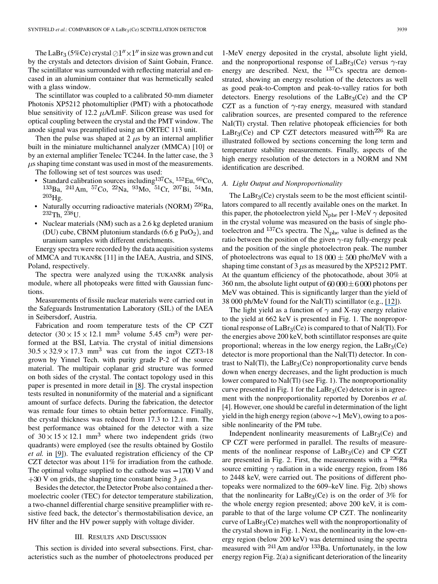The LaBr<sub>3</sub> (5%Ce) crystal  $\oslash$ 1"  $\times$ 1" in size was grown and cut by the crystals and detectors division of Saint Gobain, France. The scintillator was surrounded with reflecting material and encased in an aluminium container that was hermetically sealed with a glass window.

The scintillator was coupled to a calibrated 50-mm diameter Photonis XP5212 photomultiplier (PMT) with a photocathode blue sensitivity of 12.2  $\mu$ A/LmF. Silicon grease was used for optical coupling between the crystal and the PMT window. The anode signal was preamplified using an ORTEC 113 unit.

Then the pulse was shaped at 2  $\mu$ s by an internal amplifier built in the miniature multichannel analyzer (MMCA) [\[10\]](#page-6-0) or by an external amplifier Tenelec TC244. In the latter case, the 3  $\mu$ s shaping time constant was used in most of the measurements. The following set of test sources was used:

- Standard calibration sources including  ${}^{137}Cs$ ,  ${}^{152}Eu$ ,  ${}^{60}Co$ ,  $^{133}$ Ba,  $^{241}$ Am,  $^{57}$ Co,  $^{22}$ Na,  $^{93}$ Mo,  $^{51}$ Cr,  $^{207}$ Bi,  $^{54}$ Mn,  $^{203}$ Hg.
- Naturally occurring radioactive materials (NORM) <sup>226</sup>Ra,  ${}^{232}$ Th,  ${}^{238}$ U.
- Nuclear materials (NM) such as a 2.6 kg depleted uranium (DU) cube, CBNM plutonium standards  $(6.6 \text{ g} \text{ PuO}_2)$ , and uranium samples with different enrichments.

Energy spectra were recorded by the data acquisition systems of MMCA and TUKAN8K [\[11\]](#page-6-0) in the IAEA, Austria, and SINS, Poland, respectively.

The spectra were analyzed using the TUKAN8K analysis module, where all photopeaks were fitted with Gaussian functions.

Measurements of fissile nuclear materials were carried out in the Safeguards Instrumentation Laboratory (SIL) of the IAEA in Seibersdorf, Austria.

Fabrication and room temperature tests of the CP CZT detector  $(30 \times 15 \times 12.1 \text{ mm}^3$  volume 5.45 cm<sup>3</sup>) were performed at the BSI, Latvia. The crystal of initial dimensions  $30.5 \times 32.9 \times 17.3$  mm<sup>3</sup> was cut from the ingot CZT3-18 grown by Yinnel Tech. with purity grade P-2 of the source material. The multipair coplanar grid structure was formed on both sides of the crystal. The contact topology used in this paper is presented in more detail in [\[](#page-6-0)[8](https://www.researchgate.net/publication/4223840_Investigation_of_a_Large_Volume_Multi-Pair_Coplanar_Grid_CdZnTe_Detector_for_Improved_Detection_Efficiency?el=1_x_8&enrichId=rgreq-76d1c7b294ca3bb5af1c1b7d9063d6fe-XXX&enrichSource=Y292ZXJQYWdlOzMxNDAyMDA7QVM6MTA0MDgyMTAyNTU0NjM4QDE0MDE4MjY1MTYxMDM=)[\]](#page-6-0). The crystal inspection tests resulted in nonuniformity of the material and a significant amount of surface defects. During the fabrication, the detector was remade four times to obtain better performance. Finally, the crystal thickness was reduced from 17.3 to 12.1 mm. The best performance was obtained for the detector with a size of  $30 \times 15 \times 12.1$  mm<sup>3</sup> where two independent grids (two quadrants) were employed (see the results obtained by Gostilo *et al.* in[\[9](https://www.researchgate.net/publication/4223945_Preliminary_results_of_large_volume_multi-pair_coplanar_grid_CdZnTe_detector_fabrication?el=1_x_8&enrichId=rgreq-76d1c7b294ca3bb5af1c1b7d9063d6fe-XXX&enrichSource=Y292ZXJQYWdlOzMxNDAyMDA7QVM6MTA0MDgyMTAyNTU0NjM4QDE0MDE4MjY1MTYxMDM=)[\]](#page-6-0)). The evaluated registration efficiency of the CP CZT detector was about 11% for irradiation from the cathode. The optimal voltage supplied to the cathode was  $-1700$  V and  $+30$  V on grids, the shaping time constant being 3  $\mu$ s.

Besides the detector, the Detector Probe also contained a thermoelectric cooler (TEC) for detector temperature stabilization, a two-channel differential charge sensitive preamplifier with resistive feed back, the detector's thermostabilisation device, an HV filter and the HV power supply with voltage divider.

#### III. RESULTS AND DISCUSSION

This section is divided into several subsections. First, characteristics such as the number of photoelectrons produced per 1-MeV energy deposited in the crystal, absolute light yield, and the nonproportional response of LaBr<sub>3</sub>(Ce) versus  $\gamma$ -ray energy are described. Next, the  $^{137}Cs$  spectra are demonstrated, showing an energy resolution of the detectors as well as good peak-to-Compton and peak-to-valley ratios for both detectors. Energy resolutions of the  $LaBr<sub>3</sub>(Ce)$  and the CP CZT as a function of  $\gamma$ -ray energy, measured with standard calibration sources, are presented compared to the reference NaI(Tl) crystal. Then relative photopeak efficiencies for both LaBr<sub>3</sub>(Ce) and CP CZT detectors measured with<sup>226</sup> Ra are illustrated followed by sections concerning the long term and temperature stability measurements. Finally, aspects of the high energy resolution of the detectors in a NORM and NM identification are described.

## *A. Light Output and Nonproportionality*

The  $LaBr<sub>3</sub>(Ce)$  crystals seem to be the most efficient scintillators compared to all recently available ones on the market. In this paper, the photoelectron yield  $N_{\rm phe}$  per 1-MeV  $\gamma$  deposited in the crystal volume was measured on the basis of single photoelectron and <sup>137</sup>Cs spectra. The  $N_{\text{phe}}$  value is defined as the ratio between the position of the given  $\gamma$ -ray fully-energy peak and the position of the single photoelectron peak. The number of photoelectrons was equal to  $18000 \pm 500$  phe/MeV with a shaping time constant of 3  $\mu$ s as measured by the XP5212 PMT. At the quantum efficiency of the photocathode, about 30% at 360 nm, the absolute light output of 60 000  $\pm$  6 000 photons per MeV was obtained. This is significantly larger than the yield of 38 000 ph/MeV found for the NaI(Tl) scintillator (e.g.,[\[](https://www.researchgate.net/publication/3132565_A_measurement_of_the_light_yield_of_common_inorganic_scintillators?el=1_x_8&enrichId=rgreq-76d1c7b294ca3bb5af1c1b7d9063d6fe-XXX&enrichSource=Y292ZXJQYWdlOzMxNDAyMDA7QVM6MTA0MDgyMTAyNTU0NjM4QDE0MDE4MjY1MTYxMDM=)[1](#page-6-0)[2](https://www.researchgate.net/publication/3132565_A_measurement_of_the_light_yield_of_common_inorganic_scintillators?el=1_x_8&enrichId=rgreq-76d1c7b294ca3bb5af1c1b7d9063d6fe-XXX&enrichSource=Y292ZXJQYWdlOzMxNDAyMDA7QVM6MTA0MDgyMTAyNTU0NjM4QDE0MDE4MjY1MTYxMDM=)[\]\)](#page-6-0).

The light yield as a function of  $\gamma$  and X-ray energy relative to the yield at 662 keV is presented in [Fig. 1](#page-3-0). The nonproportional response of  $LaBr_3(Ce)$  is compared to that of NaI(Tl). For the energies above 200 keV, both scintillator responses are quite proportional; whereas in the low energy region, the  $LaBr<sub>3</sub>(Ce)$ detector is more proportional than the NaI(Tl) detector. In contrast to NaI(Tl), the  $LaBr<sub>3</sub>(Ce)$  nonproportionality curve bends down when energy decreases, and the light production is much lower compared to NaI(Tl) (see [Fig. 1\)](#page-3-0). The nonproportionality curve presented in [Fig. 1](#page-3-0) for the  $LaBr<sub>3</sub>(Ce)$  detector is in agreement with the nonproportionality reported by Dorenbos *et al.* [\[4\].](#page-6-0) However, one should be careful in determination of the light yield in the high energy region (above  $\sim$  1 MeV), owing to a possible nonlinearity of the PM tube.

Independent nonlinearity measurements of  $LaBr<sub>3</sub>(Ce)$  and CP CZT were performed in parallel. The results of measurements of the nonlinear response of  $LaBr<sub>3</sub>(Ce)$  and CP CZT are presented in [Fig. 2.](#page-3-0) First, the measurements with a  $^{226}Ra$ source emitting  $\gamma$  radiation in a wide energy region, from 186 to 2448 keV, were carried out. The positions of different photopeaks were normalized to the 609–keV line. [Fig. 2\(b\)](#page-3-0) shows that the nonlinearity for  $LaBr<sub>3</sub>(Ce)$  is on the order of 3% for the whole energy region presented; above 200 keV, it is comparable to that of the large volume CP CZT. The nonlinearity curve of  $LaBr<sub>3</sub>(Ce)$  matches well with the nonproportionality of the crystal shown in [Fig. 1.](#page-3-0) Next, the nonlinearity in the low-energy region (below 200 keV) was determined using the spectra measured with  $^{241}$ Am and/or  $^{133}$ Ba. Unfortunately, in the low energy region [Fig. 2\(a\)](#page-3-0) a significant deterioration of the linearity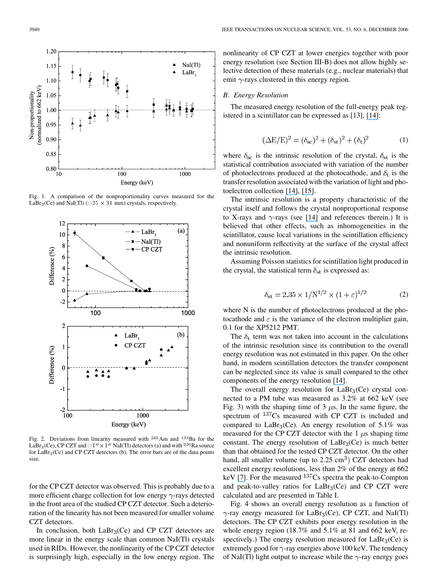<span id="page-3-0"></span>

Fig. 1. A comparison of the nonproportionality curves measured for the LaBr<sub>3</sub>(Ce) and NaI(Tl) ( $\oslash$  25  $\times$  31 mm) crystals, respectively.



Fig. 2. Deviations from linearity measured with  $241$  Am and  $133$  Ba for the LaBr<sub>3</sub>(Ce), CP CZT and  $\oslash$  1"  $\times$  1" NaI(Tl) detectors (a) and with <sup>226</sup> Ra source for  $LaBr<sub>3</sub>(Ce)$  and CP CZT detectors (b). The error bars are of the data points size

for the CP CZT detector was observed. This is probably due to a more efficient charge collection for low energy  $\gamma$ -rays detected in the front area of the studied CP CZT detector. Such a deterioration of the linearity has not been measured for smaller volume CZT detectors.

In conclusion, both  $LaBr<sub>3</sub>(Ce)$  and CP CZT detectors are more linear in the energy scale than common NaI(Tl) crystals used in RIDs. However, the nonlinearity of the CP CZT detector is surprisingly high, especially in the low energy region. The

nonlinearity of CP CZT at lower energies together with poor energy resolution (see Section III-B) does not allow highly selective detection of these materials (e.g., nuclear materials) that emit  $\gamma$ -rays clustered in this energy region.

#### *B. Energy Resolution*

The measured energy resolution of the full-energy peak registered in a scintillator can be expressed as [\[13\],](#page-6-0) [\[](https://www.researchgate.net/publication/253290845_Energy_resolution_of_scintillation_detectors?el=1_x_8&enrichId=rgreq-76d1c7b294ca3bb5af1c1b7d9063d6fe-XXX&enrichSource=Y292ZXJQYWdlOzMxNDAyMDA7QVM6MTA0MDgyMTAyNTU0NjM4QDE0MDE4MjY1MTYxMDM=)[1](#page-6-0)[4](https://www.researchgate.net/publication/253290845_Energy_resolution_of_scintillation_detectors?el=1_x_8&enrichId=rgreq-76d1c7b294ca3bb5af1c1b7d9063d6fe-XXX&enrichSource=Y292ZXJQYWdlOzMxNDAyMDA7QVM6MTA0MDgyMTAyNTU0NjM4QDE0MDE4MjY1MTYxMDM=)[\]:](#page-6-0)

$$
(\Delta E/E)^{2} = (\delta_{sc})^{2} + (\delta_{st})^{2} + (\delta_{t})^{2}
$$
 (1)

where  $\delta_{\rm sc}$  is the intrinsic resolution of the crystal,  $\delta_{\rm st}$  is the statistical contribution associated with variation of the number of photoelectrons produced at the photocathode, and  $\delta_t$  is the transfer resolution associated with the variation of light and photoelectron collection [\[](#page-6-0)[1](https://www.researchgate.net/publication/253290845_Energy_resolution_of_scintillation_detectors?el=1_x_8&enrichId=rgreq-76d1c7b294ca3bb5af1c1b7d9063d6fe-XXX&enrichSource=Y292ZXJQYWdlOzMxNDAyMDA7QVM6MTA0MDgyMTAyNTU0NjM4QDE0MDE4MjY1MTYxMDM=)[4\], \[](#page-6-0)[1](https://www.researchgate.net/publication/3135067_Non-Proportionality_in_the_Scintillation_Response_and_the_Energy_Resolution_Obtainable_with_Scintillation_Crystals?el=1_x_8&enrichId=rgreq-76d1c7b294ca3bb5af1c1b7d9063d6fe-XXX&enrichSource=Y292ZXJQYWdlOzMxNDAyMDA7QVM6MTA0MDgyMTAyNTU0NjM4QDE0MDE4MjY1MTYxMDM=)[5\].](#page-6-0)

The intrinsic resolution is a property characteristic of the crystal itself and follows the crystal nonproportional response to X-rays and  $\gamma$ -rays (see [\[14](#page-6-0)[\]](https://www.researchgate.net/publication/253290845_Energy_resolution_of_scintillation_detectors?el=1_x_8&enrichId=rgreq-76d1c7b294ca3bb5af1c1b7d9063d6fe-XXX&enrichSource=Y292ZXJQYWdlOzMxNDAyMDA7QVM6MTA0MDgyMTAyNTU0NjM4QDE0MDE4MjY1MTYxMDM=) and references therein.) It is believed that other effects, such as inhomogeneities in the scintillator, cause local variations in the scintillation efficiency and nonuniform reflectivity at the surface of the crystal affect the intrinsic resolution.

Assuming Poisson statistics for scintillation light produced in the crystal, the statistical term  $\delta_{st}$  is expressed as:

$$
\delta_{\rm st} = 2.35 \times 1/N^{1/2} \times (1+\varepsilon)^{1/2}
$$
 (2)

where N is the number of photoelectrons produced at the photocathode and  $\varepsilon$  is the variance of the electron multiplier gain, 0.1 for the XP5212 PMT.

The  $\delta_t$  term was not taken into account in the calculations of the intrinsic resolution since its contribution to the overall energy resolution was not estimated in this paper. On the other hand, in modern scintillation detectors the transfer component can be neglected since its value is small compared to the other components of the energy resolution [\[](#page-6-0)[1](https://www.researchgate.net/publication/253290845_Energy_resolution_of_scintillation_detectors?el=1_x_8&enrichId=rgreq-76d1c7b294ca3bb5af1c1b7d9063d6fe-XXX&enrichSource=Y292ZXJQYWdlOzMxNDAyMDA7QVM6MTA0MDgyMTAyNTU0NjM4QDE0MDE4MjY1MTYxMDM=)[4\]](#page-6-0).

The overall energy resolution for  $LaBr<sub>3</sub>(Ce)$  crystal connected to a PM tube was measured as 3.2% at 662 keV (see [Fig. 3\)](#page-4-0) with the shaping time of 3  $\mu$ s. In the same figure, the spectrum of  $137$ Cs measured with CP CZT is included and compared to  $LaBr<sub>3</sub>(Ce)$ . An energy resolution of 5.1% was measured for the CP CZT detector with the  $1 \mu s$  shaping time constant. The energy resolution of  $LaBr<sub>3</sub>(Ce)$  is much better than that obtained for the tested CP CZT detector. On the other hand, all smaller volume (up to  $2.25 \text{ cm}^3$ ) CZT detectors had excellent energy resolutions, less than 2% of the energy at 662 keV[\[7](https://www.researchgate.net/publication/4155361_Performance_improvement_of_large_volume_CdZnTe_detectors?el=1_x_8&enrichId=rgreq-76d1c7b294ca3bb5af1c1b7d9063d6fe-XXX&enrichSource=Y292ZXJQYWdlOzMxNDAyMDA7QVM6MTA0MDgyMTAyNTU0NjM4QDE0MDE4MjY1MTYxMDM=)[\].](#page-6-0) For the measured  $^{137}Cs$  spectra the peak-to-Compton and peak-to-valley ratios for  $LaBr<sub>3</sub>(Ce)$  and CP CZT were calculated and are presented in [Table I.](#page-4-0)

[Fig. 4](#page-4-0) shows an overall energy resolution as a function of  $\gamma$ -ray energy measured for LaBr<sub>3</sub>(Ce), CP CZT, and NaI(Tl) detectors. The CP CZT exhibits poor energy resolution in the whole energy region (18.7% and 5.1% at 81 and 662 keV, respectively.) The energy resolution measured for  $LaBr<sub>3</sub>(Ce)$  is extremely good for  $\gamma$ -ray energies above 100 keV. The tendency of NaI(Tl) light output to increase while the  $\gamma$ -ray energy goes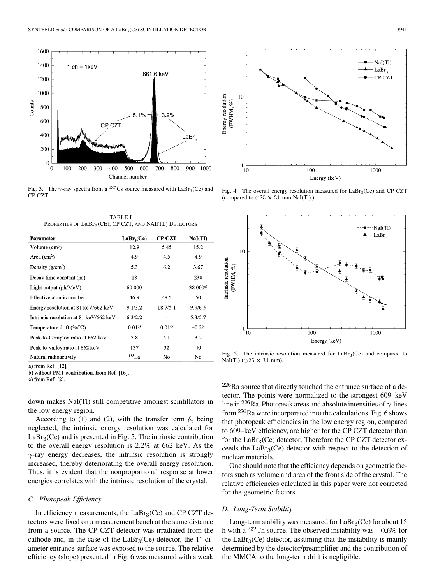<span id="page-4-0"></span>

Fig. 3. The  $\gamma$ -ray spectra from a <sup>137</sup>Cs source measured with LaBr<sub>3</sub>(Ce) and CP CZT.

| TABLE I                                                    |  |  |  |  |  |
|------------------------------------------------------------|--|--|--|--|--|
| PROPERTIES OF $LaBr_3(CE)$ , CP CZT, AND NAI(TL) DETECTORS |  |  |  |  |  |

| Parameter                              | LaBr <sub>3</sub> (Ce) | CP CZT   | NaI(TI)       |
|----------------------------------------|------------------------|----------|---------------|
| Volume $(cm3)$                         | 12.9                   | 5.45     | 15.2          |
| Area $(cm^2)$                          | 4.9                    | 4.5      | 4.9           |
| Density $(g/cm^3)$                     | 5.3                    | 6.2      | 3.67          |
| Decay time constant (ns)               | 18                     |          | 230           |
| Light output $(\text{ph/MeV})$         | 60 000                 |          | 38 000a)      |
| Effective atomic number                | 46.9                   | 48.5     | 50            |
| Energy resolution at 81 keV/662 keV    | 9.1/3.2                | 18.7/5.1 | 9.9/6.5       |
| Intrinsic resolution at 81 keV/662 keV | 6.3/2.2                |          | 5.3/5.7       |
| Temperature drift (%/°C)               | 0.01 <sup>b</sup>      | 0.01c    | $\pm 0.2^{b}$ |
| Peak-to-Compton ratio at 662 keV       | 5.8                    | 5.1      | 3.2           |
| Peak-to-valley ratio at 662 keV        | 137                    | 32       | 40            |
| Natural radioactivity                  | $^{138}{\rm La}$       | No       | No            |

a) from Ref. [12],

b) without PMT contribution, from Ref. [16],

c) from Ref.  $[2]$ .

down makes NaI(Tl) still competitive amongst scintillators in the low energy region.

According to [\(1\)](#page-3-0) and [\(2\)](#page-3-0), with the transfer term  $\delta_t$  being neglected, the intrinsic energy resolution was calculated for  $LaBr<sub>3</sub>(Ce)$  and is presented in Fig. 5. The intrinsic contribution to the overall energy resolution is 2.2% at 662 keV. As the  $\gamma$ -ray energy decreases, the intrinsic resolution is strongly increased, thereby deteriorating the overall energy resolution. Thus, it is evident that the nonproportional response at lower energies correlates with the intrinsic resolution of the crystal.

## *C. Photopeak Efficiency*

In efficiency measurements, the  $LaBr<sub>3</sub>(Ce)$  and CP CZT detectors were fixed on a measurement bench at the same distance from a source. The CP CZT detector was irradiated from the cathode and, in the case of the  $LaBr<sub>3</sub>(Ce)$  detector, the 1"-diameter entrance surface was exposed to the source. The relative efficiency (slope) presented in [Fig. 6](#page-5-0) was measured with a weak



Fig. 4. The overall energy resolution measured for  $LaBr<sub>3</sub>(Ce)$  and CP CZT (compared to  $\oslash$  25  $\times$  31 mm NaI(Tl).)



Fig. 5. The intrinsic resolution measured for  $LaBr<sub>3</sub>(Ce)$  and compared to NaI(Tl) ( $\oslash$  25  $\times$  31 mm).

 $226$ Ra source that directly touched the entrance surface of a detector. The points were normalized to the strongest 609–keV line in <sup>226</sup>Ra. Photopeak areas and absolute intensities of  $\gamma$ -lines from  $226$ Ra were incorporated into the calculations. [Fig. 6](#page-5-0) shows that photopeak efficiencies in the low energy region, compared to 609–keV efficiency, are higher for the CP CZT detector than for the  $LaBr<sub>3</sub>(Ce)$  detector. Therefore the CP CZT detector exceeds the  $LaBr<sub>3</sub>(Ce)$  detector with respect to the detection of nuclear materials.

One should note that the efficiency depends on geometric factors such as volume and area of the front side of the crystal. The relative efficiencies calculated in this paper were not corrected for the geometric factors.

#### *D. Long-Term Stability*

Long-term stability was measured for  $LaBr<sub>3</sub>(Ce)$  for about 15 h with a <sup>232</sup>Th source. The observed instability was  $-0.6\%$  for the  $LaBr<sub>3</sub>(Ce)$  detector, assuming that the instability is mainly determined by the detector/preamplifier and the contribution of the MMCA to the long-term drift is negligible.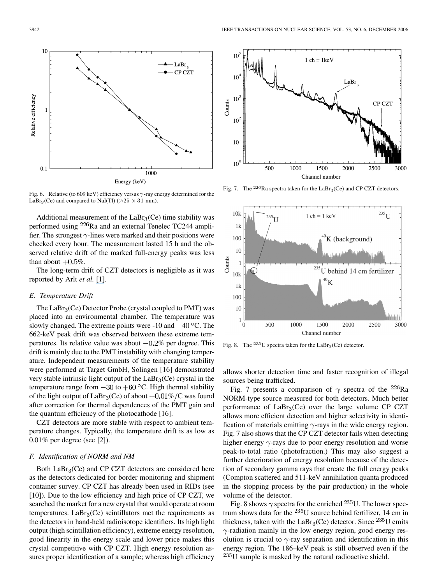<span id="page-5-0"></span>

Fig. 6. Relative (to 609 keV) efficiency versus  $\gamma$ -ray energy determined for the LaBr<sub>3</sub>(Ce) and compared to NaI(Tl) ( $\oslash$  25  $\times$  31 mm).

Additional measurement of the  $LaBr<sub>3</sub>(Ce)$  time stability was performed using  $226$ Ra and an external Tenelec TC244 amplifier. The strongest  $\gamma$ -lines were marked and their positions were checked every hour. The measurement lasted 15 h and the observed relative drift of the marked full-energy peaks was less than about  $+0.5\%$ .

The long-term drift of CZT detectors is negligible as it was reported by Arlt *et al.* [\[](#page-6-0)[1](https://www.researchgate.net/publication/3914308_Use_of_CdZnTe_detectors_in_hand-held_and_portable_isotope_identifiers_to_detect_illicit_trafficking_of_nuclear_material_and_radioactive_sources?el=1_x_8&enrichId=rgreq-76d1c7b294ca3bb5af1c1b7d9063d6fe-XXX&enrichSource=Y292ZXJQYWdlOzMxNDAyMDA7QVM6MTA0MDgyMTAyNTU0NjM4QDE0MDE4MjY1MTYxMDM=)[\]](#page-6-0).

## *E. Temperature Drift*

The  $LaBr<sub>3</sub>(Ce)$  Detector Probe (crystal coupled to PMT) was placed into an environmental chamber. The temperature was slowly changed. The extreme points were -10 and  $+40^{\circ}$ C. The 662-keV peak drift was observed between these extreme temperatures. Its relative value was about  $-0.2\%$  per degree. This drift is mainly due to the PMT instability with changing temperature. Independent measurements of the temperature stability were performed at Target GmbH, Solingen [\[16\]](#page-6-0) demonstrated very stable intrinsic light output of the  $LaBr<sub>3</sub>(Ce)$  crystal in the temperature range from  $-30$  to  $+60$  °C. High thermal stability of the light output of  $LaBr_3(Ce)$  of about  $+0.01\% / C$  was found after correction for thermal dependences of the PMT gain and the quantum efficiency of the photocathode [\[16\]](#page-6-0).

CZT detectors are more stable with respect to ambient temperature changes. Typically, the temperature drift is as low as 0.01% per degree (see [\[2\]](#page-6-0)).

#### *F. Identification of NORM and NM*

Both  $LaBr<sub>3</sub>(Ce)$  and CP CZT detectors are considered here as the detectors dedicated for border monitoring and shipment container survey. CP CZT has already been used in RIDs (see [\[10\]](#page-6-0)). Due to the low efficiency and high price of CP CZT, we searched the market for a new crystal that would operate at room temperatures.  $LaBr<sub>3</sub>(Ce)$  scintillators met the requirements as the detectors in hand-held radioisotope identifiers. Its high light output (high scintillation efficiency), extreme energy resolution, good linearity in the energy scale and lower price makes this crystal competitive with CP CZT. High energy resolution assures proper identification of a sample; whereas high efficiency



Fig. 7. The <sup>226</sup>Ra spectra taken for the LaBr<sub>3</sub>(Ce) and CP CZT detectors.



Fig. 8. The  $^{235}$ U spectra taken for the LaBr<sub>3</sub>(Ce) detector.

allows shorter detection time and faster recognition of illegal sources being trafficked.

Fig. 7 presents a comparison of  $\gamma$  spectra of the <sup>226</sup>Ra NORM-type source measured for both detectors. Much better performance of  $LaBr<sub>3</sub>(Ce)$  over the large volume CP CZT allows more efficient detection and higher selectivity in identification of materials emitting  $\gamma$ -rays in the wide energy region. Fig. 7 also shows that the CP CZT detector fails when detecting higher energy  $\gamma$ -rays due to poor energy resolution and worse peak-to-total ratio (photofraction.) This may also suggest a further deterioration of energy resolution because of the detection of secondary gamma rays that create the full energy peaks (Compton scattered and 511-keV annihilation quanta produced in the stopping process by the pair production) in the whole volume of the detector.

Fig. 8 shows  $\gamma$  spectra for the enriched <sup>235</sup>U. The lower spectrum shows data for the  $^{235}$ U source behind fertilizer, 14 cm in thickness, taken with the LaBr<sub>3</sub>(Ce) detector. Since  $^{235}$ U emits  $\gamma$ -radiation mainly in the low energy region, good energy resolution is crucial to  $\gamma$ -ray separation and identification in this energy region. The 186–keV peak is still observed even if the  $^{235}$ U sample is masked by the natural radioactive shield.